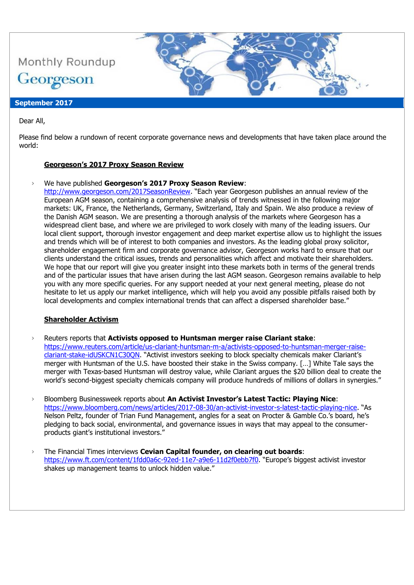

Dear All,

Please find below a rundown of recent corporate governance news and developments that have taken place around the world:

#### **Georgeson's 2017 Proxy Season Review**

#### › We have published **Georgeson's 2017 Proxy Season Review**:

[http://www.georgeson.com/2017SeasonReview.](http://www.georgeson.com/2017SeasonReview) "Each year Georgeson publishes an annual review of the European AGM season, containing a comprehensive analysis of trends witnessed in the following major markets: UK, France, the Netherlands, Germany, Switzerland, Italy and Spain. We also produce a review of the Danish AGM season. We are presenting a thorough analysis of the markets where Georgeson has a widespread client base, and where we are privileged to work closely with many of the leading issuers. Our local client support, thorough investor engagement and deep market expertise allow us to highlight the issues and trends which will be of interest to both companies and investors. As the leading global proxy solicitor, shareholder engagement firm and corporate governance advisor, Georgeson works hard to ensure that our clients understand the critical issues, trends and personalities which affect and motivate their shareholders. We hope that our report will give you greater insight into these markets both in terms of the general trends and of the particular issues that have arisen during the last AGM season. Georgeson remains available to help you with any more specific queries. For any support needed at your next general meeting, please do not hesitate to let us apply our market intelligence, which will help you avoid any possible pitfalls raised both by local developments and complex international trends that can affect a dispersed shareholder base."

#### **Shareholder Activism**

› Reuters reports that **Activists opposed to Huntsman merger raise Clariant stake**: [https://www.reuters.com/article/us-clariant-huntsman-m-a/activists-opposed-to-huntsman-merger-raise](https://www.reuters.com/article/us-clariant-huntsman-m-a/activists-opposed-to-huntsman-merger-raise-clariant-stake-idUSKCN1C30QN)[clariant-stake-idUSKCN1C30QN](https://www.reuters.com/article/us-clariant-huntsman-m-a/activists-opposed-to-huntsman-merger-raise-clariant-stake-idUSKCN1C30QN). "Activist investors seeking to block specialty chemicals maker Clariant's merger with Huntsman of the U.S. have boosted their stake in the Swiss company. […] White Tale says the merger with Texas-based Huntsman will destroy value, while Clariant argues the \$20 billion deal to create the world's second-biggest specialty chemicals company will produce hundreds of millions of dollars in synergies."

- › Bloomberg Businessweek reports about **An Activist Investor's Latest Tactic: Playing Nice**: <https://www.bloomberg.com/news/articles/2017-08-30/an-activist-investor-s-latest-tactic-playing-nice>. "As Nelson Peltz, founder of Trian Fund Management, angles for a seat on Procter & Gamble Co.'s board, he's pledging to back social, environmental, and governance issues in ways that may appeal to the consumerproducts giant's institutional investors."
- › The Financial Times interviews **Cevian Capital founder, on clearing out boards**: <https://www.ft.com/content/1fdd0a6c-92ed-11e7-a9e6-11d2f0ebb7f0>. "Europe's biggest activist investor shakes up management teams to unlock hidden value."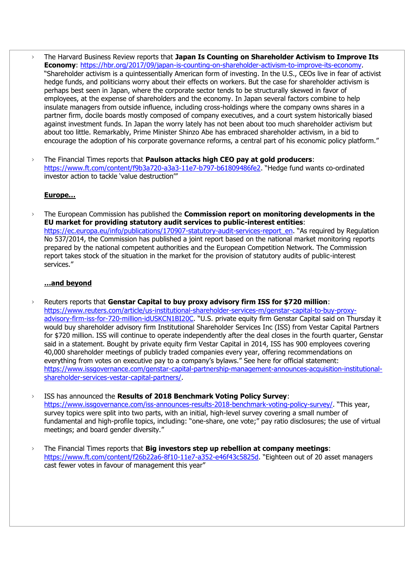- › The Harvard Business Review reports that **Japan Is Counting on Shareholder Activism to Improve Its Economy**: [https://hbr.org/2017/09/japan-is-counting-on-shareholder-activism-to-improve-its-economy.](https://hbr.org/2017/09/japan-is-counting-on-shareholder-activism-to-improve-its-economy) "Shareholder activism is a quintessentially American form of investing. In the U.S., CEOs live in fear of activist hedge funds, and politicians worry about their effects on workers. But the case for shareholder activism is perhaps best seen in Japan, where the corporate sector tends to be structurally skewed in favor of employees, at the expense of shareholders and the economy. In Japan several factors combine to help insulate managers from outside influence, including cross-holdings where the company owns shares in a partner firm, docile boards mostly composed of company executives, and a court system historically biased against investment funds. In Japan the worry lately has not been about too much shareholder activism but about too little. Remarkably, Prime Minister Shinzo Abe has embraced shareholder activism, in a bid to encourage the adoption of his corporate governance reforms, a central part of his economic policy platform."
- › The Financial Times reports that **Paulson attacks high CEO pay at gold producers**: <https://www.ft.com/content/f9b3a720-a3a3-11e7-b797-b61809486fe2>. "Hedge fund wants co-ordinated investor action to tackle 'value destruction'"

#### **Europe…**

› The European Commission has published the **Commission report on monitoring developments in the EU market for providing statutory audit services to public-interest entities**: [https://ec.europa.eu/info/publications/170907-statutory-audit-services-report\\_en](https://ec.europa.eu/info/publications/170907-statutory-audit-services-report_en). "As required by Regulation No 537/2014, the Commission has published a joint report based on the national market monitoring reports prepared by the national competent authorities and the European Competition Network. The Commission report takes stock of the situation in the market for the provision of statutory audits of public-interest services."

### **…and beyond**

- › Reuters reports that **Genstar Capital to buy proxy advisory firm ISS for \$720 million**: [https://www.reuters.com/article/us-institutional-shareholder-services-m/genstar-capital-to-buy-proxy](https://www.reuters.com/article/us-institutional-shareholder-services-m/genstar-capital-to-buy-proxy-advisory-firm-iss-for-720-million-idUSKCN1BI20C)[advisory-firm-iss-for-720-million-idUSKCN1BI20C](https://www.reuters.com/article/us-institutional-shareholder-services-m/genstar-capital-to-buy-proxy-advisory-firm-iss-for-720-million-idUSKCN1BI20C). "U.S. private equity firm Genstar Capital said on Thursday it would buy shareholder advisory firm Institutional Shareholder Services Inc (ISS) from Vestar Capital Partners for \$720 million. ISS will continue to operate independently after the deal closes in the fourth quarter, Genstar said in a statement. Bought by private equity firm Vestar Capital in 2014, ISS has 900 employees covering 40,000 shareholder meetings of publicly traded companies every year, offering recommendations on everything from votes on executive pay to a company's bylaws." See here for official statement: [https://www.issgovernance.com/genstar-capital-partnership-management-announces-acquisition-institutional](https://www.issgovernance.com/genstar-capital-partnership-management-announces-acquisition-institutional-shareholder-services-vestar-capital-partners/)[shareholder-services-vestar-capital-partners/.](https://www.issgovernance.com/genstar-capital-partnership-management-announces-acquisition-institutional-shareholder-services-vestar-capital-partners/)
- › ISS has announced the **Results of 2018 Benchmark Voting Policy Survey**: <https://www.issgovernance.com/iss-announces-results-2018-benchmark-voting-policy-survey/>. "This year, survey topics were split into two parts, with an initial, high-level survey covering a small number of fundamental and high-profile topics, including: "one-share, one vote;" pay ratio disclosures; the use of virtual meetings; and board gender diversity."
- › The Financial Times reports that **Big investors step up rebellion at company meetings**: <https://www.ft.com/content/f26b22a6-8f10-11e7-a352-e46f43c5825d>. "Eighteen out of 20 asset managers cast fewer votes in favour of management this year"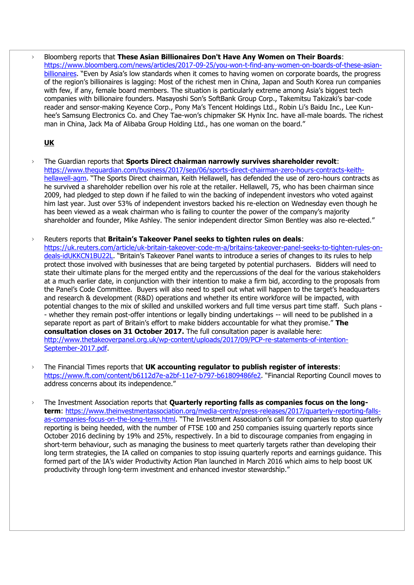› Bloomberg reports that **These Asian Billionaires Don't Have Any Women on Their Boards**: [https://www.bloomberg.com/news/articles/2017-09-25/you-won-t-find-any-women-on-boards-of-these-asian](https://www.bloomberg.com/news/articles/2017-09-25/you-won-t-find-any-women-on-boards-of-these-asian-billionaires)[billionaires](https://www.bloomberg.com/news/articles/2017-09-25/you-won-t-find-any-women-on-boards-of-these-asian-billionaires). "Even by Asia's low standards when it comes to having women on corporate boards, the progress of the region's billionaires is lagging: Most of the richest men in China, Japan and South Korea run companies with few, if any, female board members. The situation is particularly extreme among Asia's biggest tech companies with billionaire founders. Masayoshi Son's SoftBank Group Corp., Takemitsu Takizaki's bar-code reader and sensor-making Keyence Corp., Pony Ma's Tencent Holdings Ltd., Robin Li's Baidu Inc., Lee Kunhee's Samsung Electronics Co. and Chey Tae-won's chipmaker SK Hynix Inc. have all-male boards. The richest man in China, Jack Ma of Alibaba Group Holding Ltd., has one woman on the board."

# **UK**

- › The Guardian reports that **Sports Direct chairman narrowly survives shareholder revolt**: [https://www.theguardian.com/business/2017/sep/06/sports-direct-chairman-zero-hours-contracts-keith](https://www.theguardian.com/business/2017/sep/06/sports-direct-chairman-zero-hours-contracts-keith-hellawell-agm)[hellawell-agm.](https://www.theguardian.com/business/2017/sep/06/sports-direct-chairman-zero-hours-contracts-keith-hellawell-agm) "The Sports Direct chairman, Keith Hellawell, has defended the use of zero-hours contracts as he survived a shareholder rebellion over his role at the retailer. Hellawell, 75, who has been chairman since 2009, had pledged to step down if he failed to win the backing of independent investors who voted against him last year. Just over 53% of independent investors backed his re-election on Wednesday even though he has been viewed as a weak chairman who is failing to counter the power of the company's majority shareholder and founder, Mike Ashley. The senior independent director Simon Bentley was also re-elected."
- › Reuters reports that **Britain's Takeover Panel seeks to tighten rules on deals**: [https://uk.reuters.com/article/uk-britain-takeover-code-m-a/britains-takeover-panel-seeks-to-tighten-rules-on](https://uk.reuters.com/article/uk-britain-takeover-code-m-a/britains-takeover-panel-seeks-to-tighten-rules-on-deals-idUKKCN1BU22L)[deals-idUKKCN1BU22L](https://uk.reuters.com/article/uk-britain-takeover-code-m-a/britains-takeover-panel-seeks-to-tighten-rules-on-deals-idUKKCN1BU22L). "Britain's Takeover Panel wants to introduce a series of changes to its rules to help protect those involved with businesses that are being targeted by potential purchasers. Bidders will need to state their ultimate plans for the merged entity and the repercussions of the deal for the various stakeholders at a much earlier date, in conjunction with their intention to make a firm bid, according to the proposals from the Panel's Code Committee. Buyers will also need to spell out what will happen to the target's headquarters and research & development (R&D) operations and whether its entire workforce will be impacted, with potential changes to the mix of skilled and unskilled workers and full time versus part time staff. Such plans - - whether they remain post-offer intentions or legally binding undertakings -- will need to be published in a separate report as part of Britain's effort to make bidders accountable for what they promise." **The consultation closes on 31 October 2017.** The full consultation paper is available here: [http://www.thetakeoverpanel.org.uk/wp-content/uploads/2017/09/PCP-re-statements-of-intention-](http://www.thetakeoverpanel.org.uk/wp-content/uploads/2017/09/PCP-re-statements-of-intention-September-2017.pdf)[September-2017.pdf.](http://www.thetakeoverpanel.org.uk/wp-content/uploads/2017/09/PCP-re-statements-of-intention-September-2017.pdf)
- › The Financial Times reports that **UK accounting regulator to publish register of interests**: <https://www.ft.com/content/b6112d7e-a2bf-11e7-b797-b61809486fe2>. "Financial Reporting Council moves to address concerns about its independence."
- › The Investment Association reports that **Quarterly reporting falls as companies focus on the longterm**: [https://www.theinvestmentassociation.org/media-centre/press-releases/2017/quarterly-reporting-falls](https://www.theinvestmentassociation.org/media-centre/press-releases/2017/quarterly-reporting-falls-as-companies-focus-on-the-long-term.html)[as-companies-focus-on-the-long-term.html](https://www.theinvestmentassociation.org/media-centre/press-releases/2017/quarterly-reporting-falls-as-companies-focus-on-the-long-term.html). "The Investment Association's call for companies to stop quarterly reporting is being heeded, with the number of FTSE 100 and 250 companies issuing quarterly reports since October 2016 declining by 19% and 25%, respectively. In a bid to discourage companies from engaging in short-term behaviour, such as managing the business to meet quarterly targets rather than developing their long term strategies, the IA called on companies to stop issuing quarterly reports and earnings guidance. This formed part of the IA's wider Productivity Action Plan launched in March 2016 which aims to help boost UK productivity through long-term investment and enhanced investor stewardship."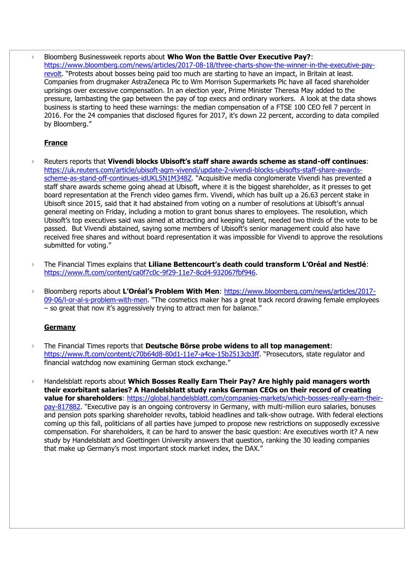› Bloomberg Businessweek reports about **Who Won the Battle Over Executive Pay?**: [https://www.bloomberg.com/news/articles/2017-08-18/three-charts-show-the-winner-in-the-executive-pay](https://www.bloomberg.com/news/articles/2017-08-18/three-charts-show-the-winner-in-the-executive-pay-revolt)[revolt](https://www.bloomberg.com/news/articles/2017-08-18/three-charts-show-the-winner-in-the-executive-pay-revolt). "Protests about bosses being paid too much are starting to have an impact, in Britain at least. Companies from drugmaker AstraZeneca Plc to Wm Morrison Supermarkets Plc have all faced shareholder uprisings over excessive compensation. In an election year, Prime Minister Theresa May added to the pressure, lambasting the gap between the pay of top execs and ordinary workers. A look at the data shows business is starting to heed these warnings: the median compensation of a FTSE 100 CEO fell 7 percent in 2016. For the 24 companies that disclosed figures for 2017, it's down 22 percent, according to data compiled by Bloomberg."

## **France**

- › Reuters reports that **Vivendi blocks Ubisoft's staff share awards scheme as stand-off continues**: [https://uk.reuters.com/article/ubisoft-agm-vivendi/update-2-vivendi-blocks-ubisofts-staff-share-awards](https://uk.reuters.com/article/ubisoft-agm-vivendi/update-2-vivendi-blocks-ubisofts-staff-share-awards-scheme-as-stand-off-continues-idUKL5N1M348Z)[scheme-as-stand-off-continues-idUKL5N1M348Z](https://uk.reuters.com/article/ubisoft-agm-vivendi/update-2-vivendi-blocks-ubisofts-staff-share-awards-scheme-as-stand-off-continues-idUKL5N1M348Z). "Acquisitive media conglomerate Vivendi has prevented a staff share awards scheme going ahead at Ubisoft, where it is the biggest shareholder, as it presses to get board representation at the French video games firm. Vivendi, which has built up a 26.63 percent stake in Ubisoft since 2015, said that it had abstained from voting on a number of resolutions at Ubisoft's annual general meeting on Friday, including a motion to grant bonus shares to employees. The resolution, which Ubisoft's top executives said was aimed at attracting and keeping talent, needed two thirds of the vote to be passed. But Vivendi abstained, saying some members of Ubisoft's senior management could also have received free shares and without board representation it was impossible for Vivendi to approve the resolutions submitted for voting."
- › The Financial Times explains that **Liliane Bettencourt's death could transform L'Oréal and Nestlé**: [https://www.ft.com/content/ca0f7c0c-9f29-11e7-8cd4-932067fbf946.](https://www.ft.com/content/ca0f7c0c-9f29-11e7-8cd4-932067fbf946)
- › Bloomberg reports about **L'Oréal's Problem With Men**: [https://www.bloomberg.com/news/articles/2017-](https://www.bloomberg.com/news/articles/2017-09-06/l-or-al-s-problem-with-men) [09-06/l-or-al-s-problem-with-men](https://www.bloomberg.com/news/articles/2017-09-06/l-or-al-s-problem-with-men). "The cosmetics maker has a great track record drawing female employees – so great that now it's aggressively trying to attract men for balance."

## **Germany**

- › The Financial Times reports that **Deutsche Börse probe widens to all top management**: <https://www.ft.com/content/c70b64d8-80d1-11e7-a4ce-15b2513cb3ff>. "Prosecutors, state regulator and financial watchdog now examining German stock exchange."
- › Handelsblatt reports about **Which Bosses Really Earn Their Pay? Are highly paid managers worth their exorbitant salaries? A Handelsblatt study ranks German CEOs on their record of creating value for shareholders**: [https://global.handelsblatt.com/companies-markets/which-bosses-really-earn-their](https://global.handelsblatt.com/companies-markets/which-bosses-really-earn-their-pay-817882)[pay-817882](https://global.handelsblatt.com/companies-markets/which-bosses-really-earn-their-pay-817882). "Executive pay is an ongoing controversy in Germany, with multi-million euro salaries, bonuses and pension pots sparking shareholder revolts, tabloid headlines and talk-show outrage. With federal elections coming up this fall, politicians of all parties have jumped to propose new restrictions on supposedly excessive compensation. For shareholders, it can be hard to answer the basic question: Are executives worth it? A new study by Handelsblatt and Goettingen University answers that question, ranking the 30 leading companies that make up Germany's most important stock market index, the DAX."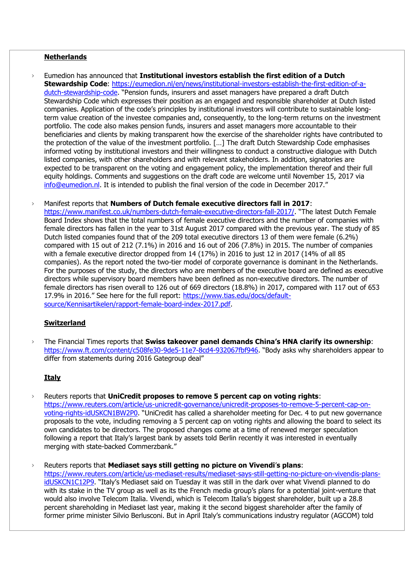### **Netherlands**

- › Eumedion has announced that **Institutional investors establish the first edition of a Dutch Stewardship Code**: [https://eumedion.nl/en/news/institutional-investors-establish-the-first-edition-of-a](https://eumedion.nl/en/news/institutional-investors-establish-the-first-edition-of-a-dutch-stewardship-code)[dutch-stewardship-code](https://eumedion.nl/en/news/institutional-investors-establish-the-first-edition-of-a-dutch-stewardship-code). "Pension funds, insurers and asset managers have prepared a draft Dutch Stewardship Code which expresses their position as an engaged and responsible shareholder at Dutch listed companies. Application of the code's principles by institutional investors will contribute to sustainable longterm value creation of the investee companies and, consequently, to the long-term returns on the investment portfolio. The code also makes pension funds, insurers and asset managers more accountable to their beneficiaries and clients by making transparent how the exercise of the shareholder rights have contributed to the protection of the value of the investment portfolio. […] The draft Dutch Stewardship Code emphasises informed voting by institutional investors and their willingness to conduct a constructive dialogue with Dutch listed companies, with other shareholders and with relevant stakeholders. In addition, signatories are expected to be transparent on the voting and engagement policy, the implementation thereof and their full equity holdings. Comments and suggestions on the draft code are welcome until November 15, 2017 via [info@eumedion.nl](mailto:info@eumedion.nl). It is intended to publish the final version of the code in December 2017."
- › Manifest reports that **Numbers of Dutch female executive directors fall in 2017**:

<https://www.manifest.co.uk/numbers-dutch-female-executive-directors-fall-2017/>. "The latest Dutch Female Board Index shows that the total numbers of female executive directors and the number of companies with female directors has fallen in the year to 31st August 2017 compared with the previous year. The study of 85 Dutch listed companies found that of the 209 total executive directors 13 of them were female (6.2%) compared with 15 out of 212 (7.1%) in 2016 and 16 out of 206 (7.8%) in 2015. The number of companies with a female executive director dropped from 14 (17%) in 2016 to just 12 in 2017 (14% of all 85 companies). As the report noted the two-tier model of corporate governance is dominant in the Netherlands. For the purposes of the study, the directors who are members of the executive board are defined as executive directors while supervisory board members have been defined as non-executive directors. The number of female directors has risen overall to 126 out of 669 directors (18.8%) in 2017, compared with 117 out of 653 17.9% in 2016." See here for the full report: [https://www.tias.edu/docs/default](https://www.tias.edu/docs/default-source/Kennisartikelen/rapport-female-board-index-2017.pdf)[source/Kennisartikelen/rapport-female-board-index-2017.pdf.](https://www.tias.edu/docs/default-source/Kennisartikelen/rapport-female-board-index-2017.pdf)

#### **Switzerland**

› The Financial Times reports that **Swiss takeover panel demands China's HNA clarify its ownership**: <https://www.ft.com/content/c508fe30-9de5-11e7-8cd4-932067fbf946>. "Body asks why shareholders appear to differ from statements during 2016 Gategroup deal"

## **Italy**

- › Reuters reports that **UniCredit proposes to remove 5 percent cap on voting rights**: [https://www.reuters.com/article/us-unicredit-governance/unicredit-proposes-to-remove-5-percent-cap-on](https://www.reuters.com/article/us-unicredit-governance/unicredit-proposes-to-remove-5-percent-cap-on-voting-rights-idUSKCN1BW2P0)[voting-rights-idUSKCN1BW2P0](https://www.reuters.com/article/us-unicredit-governance/unicredit-proposes-to-remove-5-percent-cap-on-voting-rights-idUSKCN1BW2P0). "UniCredit has called a shareholder meeting for Dec. 4 to put new governance proposals to the vote, including removing a 5 percent cap on voting rights and allowing the board to select its own candidates to be directors. The proposed changes come at a time of renewed merger speculation following a report that Italy's largest bank by assets told Berlin recently it was interested in eventually merging with state-backed Commerzbank."
- › Reuters reports that **Mediaset says still getting no picture on Vivendi**'**s plans**: [https://www.reuters.com/article/us-mediaset-results/mediaset-says-still-getting-no-picture-on-vivendis-plans](https://www.reuters.com/article/us-mediaset-results/mediaset-says-still-getting-no-picture-on-vivendis-plans-idUSKCN1C12P9)[idUSKCN1C12P9](https://www.reuters.com/article/us-mediaset-results/mediaset-says-still-getting-no-picture-on-vivendis-plans-idUSKCN1C12P9). "Italy's Mediaset said on Tuesday it was still in the dark over what Vivendi planned to do with its stake in the TV group as well as its the French media group's plans for a potential joint-venture that would also involve Telecom Italia. Vivendi, which is Telecom Italia's biggest shareholder, built up a 28.8 percent shareholding in Mediaset last year, making it the second biggest shareholder after the family of former prime minister Silvio Berlusconi. But in April Italy's communications industry regulator (AGCOM) told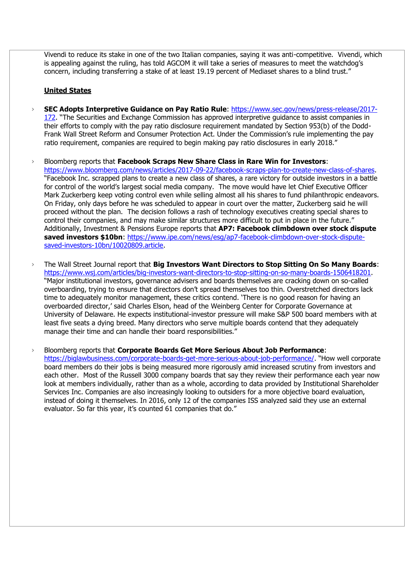Vivendi to reduce its stake in one of the two Italian companies, saying it was anti-competitive. Vivendi, which is appealing against the ruling, has told AGCOM it will take a series of measures to meet the watchdog's concern, including transferring a stake of at least 19.19 percent of Mediaset shares to a blind trust."

## **United States**

- › **SEC Adopts Interpretive Guidance on Pay Ratio Rule**: [https://www.sec.gov/news/press-release/2017-](https://www.sec.gov/news/press-release/2017-172) [172](https://www.sec.gov/news/press-release/2017-172). "The Securities and Exchange Commission has approved interpretive guidance to assist companies in their efforts to comply with the pay ratio disclosure requirement mandated by Section 953(b) of the Dodd-Frank Wall Street Reform and Consumer Protection Act. Under the Commission's rule implementing the pay ratio requirement, companies are required to begin making pay ratio disclosures in early 2018."
- › Bloomberg reports that **Facebook Scraps New Share Class in Rare Win for Investors**: [https://www.bloomberg.com/news/articles/2017-09-22/facebook-scraps-plan-to-create-new-class-of-shares.](https://www.bloomberg.com/news/articles/2017-09-22/facebook-scraps-plan-to-create-new-class-of-shares) "Facebook Inc. scrapped plans to create a new class of shares, a rare victory for outside investors in a battle for control of the world's largest social media company. The move would have let Chief Executive Officer Mark Zuckerberg keep voting control even while selling almost all his shares to fund philanthropic endeavors. On Friday, only days before he was scheduled to appear in court over the matter, Zuckerberg said he will proceed without the plan. The decision follows a rash of technology executives creating special shares to control their companies, and may make similar structures more difficult to put in place in the future." Additionally, Investment & Pensions Europe reports that **AP7: Facebook climbdown over stock dispute saved investors \$10bn**: [https://www.ipe.com/news/esg/ap7-facebook-climbdown-over-stock-dispute](https://www.ipe.com/news/esg/ap7-facebook-climbdown-over-stock-dispute-saved-investors-10bn/10020809.article)[saved-investors-10bn/10020809.article.](https://www.ipe.com/news/esg/ap7-facebook-climbdown-over-stock-dispute-saved-investors-10bn/10020809.article)
- › The Wall Street Journal report that **Big Investors Want Directors to Stop Sitting On So Many Boards**: [https://www.wsj.com/articles/big-investors-want-directors-to-stop-sitting-on-so-many-boards-1506418201.](https://www.wsj.com/articles/big-investors-want-directors-to-stop-sitting-on-so-many-boards-1506418201) "Major institutional investors, governance advisers and boards themselves are cracking down on so-called overboarding, trying to ensure that directors don't spread themselves too thin. Overstretched directors lack time to adequately monitor management, these critics contend. 'There is no good reason for having an overboarded director,' said Charles Elson, head of the Weinberg Center for Corporate Governance at University of Delaware. He expects institutional-investor pressure will make S&P 500 board members with at least five seats a dying breed. Many directors who serve multiple boards contend that they adequately manage their time and can handle their board responsibilities."
- › Bloomberg reports that **Corporate Boards Get More Serious About Job Performance**: <https://biglawbusiness.com/corporate-boards-get-more-serious-about-job-performance/>. "How well corporate board members do their jobs is being measured more rigorously amid increased scrutiny from investors and each other. Most of the Russell 3000 company boards that say they review their performance each year now look at members individually, rather than as a whole, according to data provided by Institutional Shareholder Services Inc. Companies are also increasingly looking to outsiders for a more objective board evaluation, instead of doing it themselves. In 2016, only 12 of the companies ISS analyzed said they use an external evaluator. So far this year, it's counted 61 companies that do."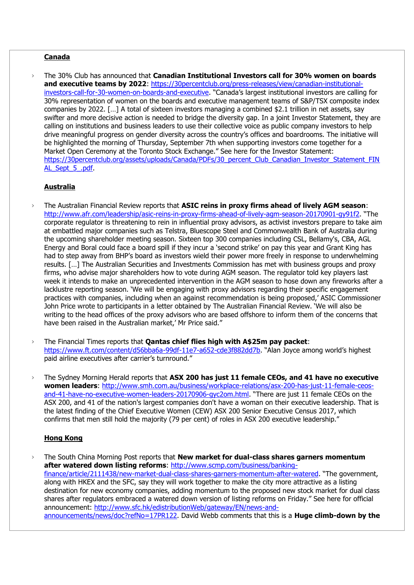## **Canada**

› The 30% Club has announced that **Canadian Institutional Investors call for 30% women on boards and executive teams by 2022**: [https://30percentclub.org/press-releases/view/canadian-institutional](https://30percentclub.org/press-releases/view/canadian-institutional-investors-call-for-30-women-on-boards-and-executive)[investors-call-for-30-women-on-boards-and-executive](https://30percentclub.org/press-releases/view/canadian-institutional-investors-call-for-30-women-on-boards-and-executive). "Canada's largest institutional investors are calling for 30% representation of women on the boards and executive management teams of S&P/TSX composite index companies by 2022. […] A total of sixteen investors managing a combined \$2.1 trillion in net assets, say swifter and more decisive action is needed to bridge the diversity gap. In a joint Investor Statement, they are calling on institutions and business leaders to use their collective voice as public company investors to help drive meaningful progress on gender diversity across the country's offices and boardrooms. The initiative will be highlighted the morning of Thursday, September 7th when supporting investors come together for a Market Open Ceremony at the Toronto Stock Exchange." See here for the Investor Statement: [https://30percentclub.org/assets/uploads/Canada/PDFs/30\\_percent\\_Club\\_Canadian\\_Investor\\_Statement\\_FIN](https://30percentclub.org/assets/uploads/Canada/PDFs/30_percent_Club_Canadian_Investor_Statement_FINAL_Sept_5_.pdf) AL Sept 5 .pdf

## **Australia**

- › The Australian Financial Review reports that **ASIC reins in proxy firms ahead of lively AGM season**: <http://www.afr.com/leadership/asic-reins-in-proxy-firms-ahead-of-lively-agm-season-20170901-gy91f2>. "The corporate regulator is threatening to rein in influential proxy advisors, as activist investors prepare to take aim at embattled major companies such as Telstra, Bluescope Steel and Commonwealth Bank of Australia during the upcoming shareholder meeting season. Sixteen top 300 companies including CSL, Bellamy's, CBA, AGL Energy and Boral could face a board spill if they incur a 'second strike' on pay this year and Grant King has had to step away from BHP's board as investors wield their power more freely in response to underwhelming results. […] The Australian Securities and Investments Commission has met with business groups and proxy firms, who advise major shareholders how to vote during AGM season. The regulator told key players last week it intends to make an unprecedented intervention in the AGM season to hose down any fireworks after a lacklustre reporting season. 'We will be engaging with proxy advisors regarding their specific engagement practices with companies, including when an against recommendation is being proposed,' ASIC Commissioner John Price wrote to participants in a letter obtained by The Australian Financial Review. 'We will also be writing to the head offices of the proxy advisors who are based offshore to inform them of the concerns that have been raised in the Australian market,' Mr Price said."
- › The Financial Times reports that **Qantas chief flies high with A\$25m pay packet**: <https://www.ft.com/content/d56bba6a-99df-11e7-a652-cde3f882dd7b>. "Alan Joyce among world's highest paid airline executives after carrier's turnround."
- › The Sydney Morning Herald reports that **ASX 200 has just 11 female CEOs, and 41 have no executive women leaders**: [http://www.smh.com.au/business/workplace-relations/asx-200-has-just-11-female-ceos](http://www.smh.com.au/business/workplace-relations/asx-200-has-just-11-female-ceos-and-41-have-no-executive-women-leaders-20170906-gyc2om.html)[and-41-have-no-executive-women-leaders-20170906-gyc2om.html.](http://www.smh.com.au/business/workplace-relations/asx-200-has-just-11-female-ceos-and-41-have-no-executive-women-leaders-20170906-gyc2om.html) "There are just 11 female CEOs on the ASX 200, and 41 of the nation's largest companies don't have a woman on their executive leadership. That is the latest finding of the Chief Executive Women (CEW) ASX 200 Senior Executive Census 2017, which confirms that men still hold the majority (79 per cent) of roles in ASX 200 executive leadership."

## **Hong Kong**

› The South China Morning Post reports that **New market for dual-class shares garners momentum**  after watered down listing reforms: [http://www.scmp.com/business/banking](http://www.scmp.com/business/banking-finance/article/2111438/new-market-dual-class-shares-garners-momentum-after-watered)[finance/article/2111438/new-market-dual-class-shares-garners-momentum-after-watered](http://www.scmp.com/business/banking-finance/article/2111438/new-market-dual-class-shares-garners-momentum-after-watered). "The government, along with HKEX and the SFC, say they will work together to make the city more attractive as a listing destination for new economy companies, adding momentum to the proposed new stock market for dual class shares after regulators embraced a watered down version of listing reforms on Friday." See here for official announcement: [http://www.sfc.hk/edistributionWeb/gateway/EN/news-and](http://www.sfc.hk/edistributionWeb/gateway/EN/news-and-announcements/news/doc?refNo=17PR122)[announcements/news/doc?refNo=17PR122.](http://www.sfc.hk/edistributionWeb/gateway/EN/news-and-announcements/news/doc?refNo=17PR122) David Webb comments that this is a **Huge climb-down by the**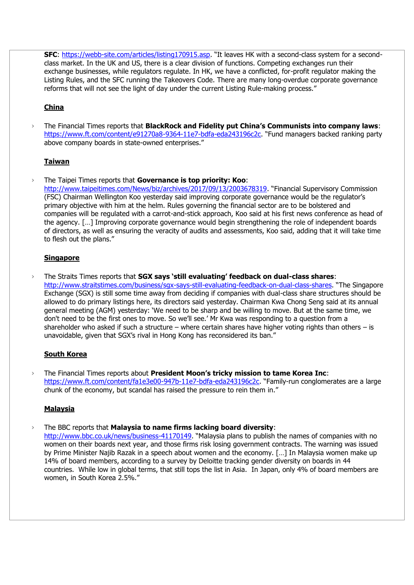SFC:<https://webb-site.com/articles/listing170915.asp>. "It leaves HK with a second-class system for a secondclass market. In the UK and US, there is a clear division of functions. Competing exchanges run their exchange businesses, while regulators regulate. In HK, we have a conflicted, for-profit regulator making the Listing Rules, and the SFC running the Takeovers Code. There are many long-overdue corporate governance reforms that will not see the light of day under the current Listing Rule-making process."

# **China**

› The Financial Times reports that **BlackRock and Fidelity put China's Communists into company laws**: <https://www.ft.com/content/e91270a8-9364-11e7-bdfa-eda243196c2c>. "Fund managers backed ranking party above company boards in state-owned enterprises."

## **Taiwan**

› The Taipei Times reports that **Governance is top priority: Koo**: <http://www.taipeitimes.com/News/biz/archives/2017/09/13/2003678319>. "Financial Supervisory Commission (FSC) Chairman Wellington Koo yesterday said improving corporate governance would be the regulator's primary objective with him at the helm. Rules governing the financial sector are to be bolstered and companies will be regulated with a carrot-and-stick approach, Koo said at his first news conference as head of the agency. […] Improving corporate governance would begin strengthening the role of independent boards of directors, as well as ensuring the veracity of audits and assessments, Koo said, adding that it will take time to flesh out the plans."

#### **Singapore**

› The Straits Times reports that **SGX says 'still evaluating' feedback on dual-class shares**: <http://www.straitstimes.com/business/sgx-says-still-evaluating-feedback-on-dual-class-shares>. "The Singapore Exchange (SGX) is still some time away from deciding if companies with dual-class share structures should be allowed to do primary listings here, its directors said yesterday. Chairman Kwa Chong Seng said at its annual general meeting (AGM) yesterday: 'We need to be sharp and be willing to move. But at the same time, we don't need to be the first ones to move. So we'll see.' Mr Kwa was responding to a question from a shareholder who asked if such a structure – where certain shares have higher voting rights than others – is unavoidable, given that SGX's rival in Hong Kong has reconsidered its ban."

#### **South Korea**

› The Financial Times reports about **President Moon's tricky mission to tame Korea Inc**: <https://www.ft.com/content/fa1e3e00-947b-11e7-bdfa-eda243196c2c>. "Family-run conglomerates are a large chunk of the economy, but scandal has raised the pressure to rein them in."

#### **Malaysia**

› The BBC reports that **Malaysia to name firms lacking board diversity**:

<http://www.bbc.co.uk/news/business-41170149>. "Malaysia plans to publish the names of companies with no women on their boards next year, and those firms risk losing government contracts. The warning was issued by Prime Minister Najib Razak in a speech about women and the economy. […] In Malaysia women make up 14% of board members, according to a survey by Deloitte tracking gender diversity on boards in 44 countries. While low in global terms, that still tops the list in Asia. In Japan, only 4% of board members are women, in South Korea 2.5%."